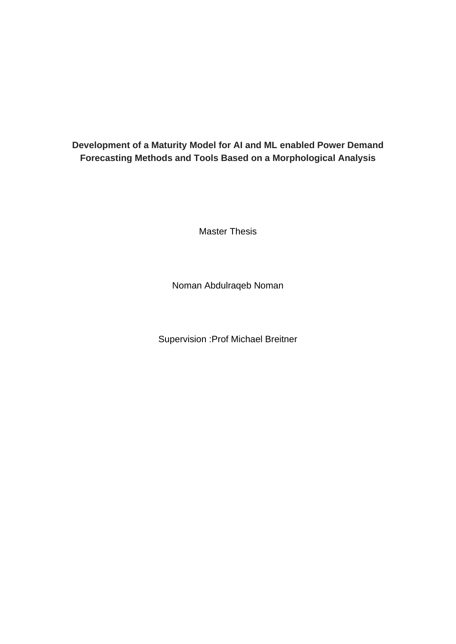## **Development of a Maturity Model for AI and ML enabled Power Demand Forecasting Methods and Tools Based on a Morphological Analysis**

Master Thesis

Noman Abdulraqeb Noman

Supervision :Prof Michael Breitner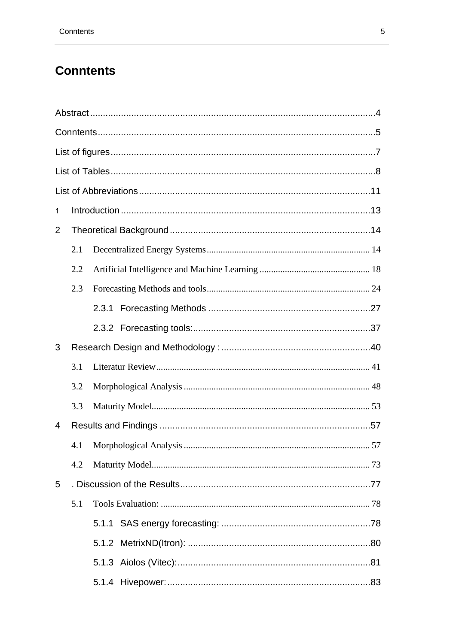## <span id="page-1-0"></span>**Conntents**

| $\mathbf{1}$ |     |  |  |  |  |  |  |  |
|--------------|-----|--|--|--|--|--|--|--|
| 2            |     |  |  |  |  |  |  |  |
|              | 2.1 |  |  |  |  |  |  |  |
|              | 2.2 |  |  |  |  |  |  |  |
|              | 2.3 |  |  |  |  |  |  |  |
|              |     |  |  |  |  |  |  |  |
|              |     |  |  |  |  |  |  |  |
| 3            |     |  |  |  |  |  |  |  |
|              | 3.1 |  |  |  |  |  |  |  |
|              | 3.2 |  |  |  |  |  |  |  |
|              | 3.3 |  |  |  |  |  |  |  |
| 4            |     |  |  |  |  |  |  |  |
|              | 4.1 |  |  |  |  |  |  |  |
|              | 4.2 |  |  |  |  |  |  |  |
| 5            |     |  |  |  |  |  |  |  |
|              | 5.1 |  |  |  |  |  |  |  |
|              |     |  |  |  |  |  |  |  |
|              |     |  |  |  |  |  |  |  |
|              |     |  |  |  |  |  |  |  |
|              |     |  |  |  |  |  |  |  |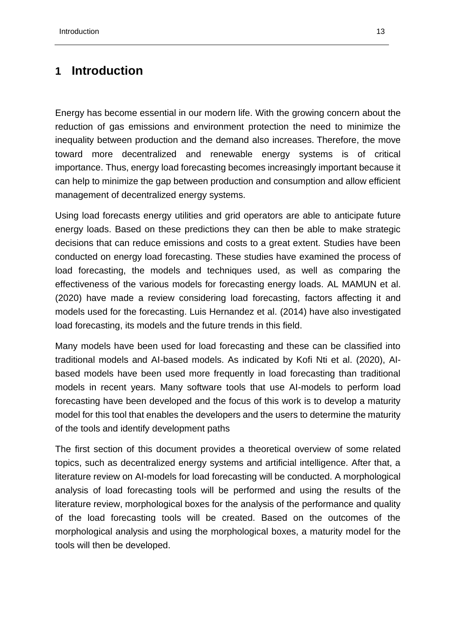## <span id="page-3-0"></span>**1 Introduction**

Energy has become essential in our modern life. With the growing concern about the reduction of gas emissions and environment protection the need to minimize the inequality between production and the demand also increases. Therefore, the move toward more decentralized and renewable energy systems is of critical importance. Thus, energy load forecasting becomes increasingly important because it can help to minimize the gap between production and consumption and allow efficient management of decentralized energy systems.

Using load forecasts energy utilities and grid operators are able to anticipate future energy loads. Based on these predictions they can then be able to make strategic decisions that can reduce emissions and costs to a great extent. Studies have been conducted on energy load forecasting. These studies have examined the process of load forecasting, the models and techniques used, as well as comparing the effectiveness of the various models for forecasting energy loads. AL MAMUN et al. (2020) have made a review considering load forecasting, factors affecting it and models used for the forecasting. Luis Hernandez et al. (2014) have also investigated load forecasting, its models and the future trends in this field.

Many models have been used for load forecasting and these can be classified into traditional models and AI-based models. As indicated by Kofi Nti et al. (2020), AIbased models have been used more frequently in load forecasting than traditional models in recent years. Many software tools that use AI-models to perform load forecasting have been developed and the focus of this work is to develop a maturity model for this tool that enables the developers and the users to determine the maturity of the tools and identify development paths

The first section of this document provides a theoretical overview of some related topics, such as decentralized energy systems and artificial intelligence. After that, a literature review on AI-models for load forecasting will be conducted. A morphological analysis of load forecasting tools will be performed and using the results of the literature review, morphological boxes for the analysis of the performance and quality of the load forecasting tools will be created. Based on the outcomes of the morphological analysis and using the morphological boxes, a maturity model for the tools will then be developed.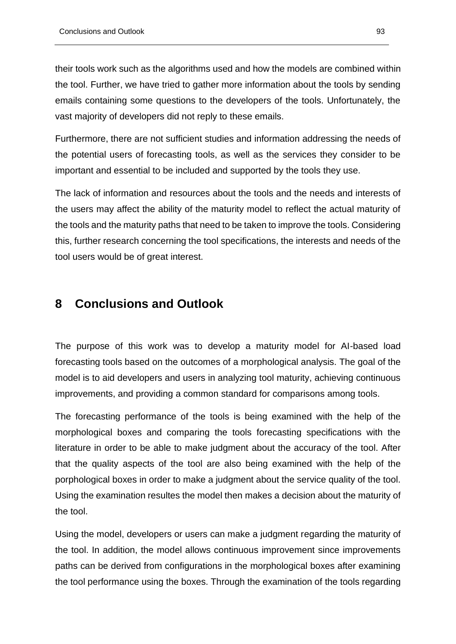their tools work such as the algorithms used and how the models are combined within the tool. Further, we have tried to gather more information about the tools by sending emails containing some questions to the developers of the tools. Unfortunately, the vast majority of developers did not reply to these emails.

Furthermore, there are not sufficient studies and information addressing the needs of the potential users of forecasting tools, as well as the services they consider to be important and essential to be included and supported by the tools they use.

The lack of information and resources about the tools and the needs and interests of the users may affect the ability of the maturity model to reflect the actual maturity of the tools and the maturity paths that need to be taken to improve the tools. Considering this, further research concerning the tool specifications, the interests and needs of the tool users would be of great interest.

## <span id="page-4-0"></span>**8 Conclusions and Outlook**

The purpose of this work was to develop a maturity model for AI-based load forecasting tools based on the outcomes of a morphological analysis. The goal of the model is to aid developers and users in analyzing tool maturity, achieving continuous improvements, and providing a common standard for comparisons among tools.

The forecasting performance of the tools is being examined with the help of the morphological boxes and comparing the tools forecasting specifications with the literature in order to be able to make judgment about the accuracy of the tool. After that the quality aspects of the tool are also being examined with the help of the porphological boxes in order to make a judgment about the service quality of the tool. Using the examination resultes the model then makes a decision about the maturity of the tool.

Using the model, developers or users can make a judgment regarding the maturity of the tool. In addition, the model allows continuous improvement since improvements paths can be derived from configurations in the morphological boxes after examining the tool performance using the boxes. Through the examination of the tools regarding